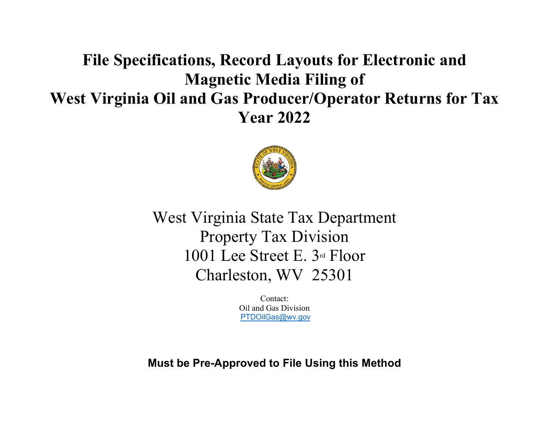# **File Specifications, Record Layouts for Electronic and Magnetic Media Filing of West Virginia Oil and Gas Producer/Operator Returns for Tax Year 2022**



West Virginia State Tax Department Property Tax Division 1001 Lee Street E. 3rd Floor Charleston, WV 25301

> Contact: Oil and Gas Division [PTDOilGas@wv.gov](mailto:PTDOilGas@wv.gov)

**Must be Pre-Approved to File Using this Method**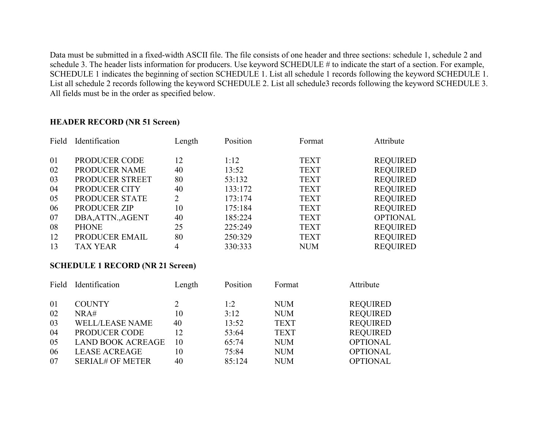Data must be submitted in a fixed-width ASCII file. The file consists of one header and three sections: schedule 1, schedule 2 and schedule 3. The header lists information for producers. Use keyword SCHEDULE # to indicate the start of a section. For example, SCHEDULE 1 indicates the beginning of section SCHEDULE 1. List all schedule 1 records following the keyword SCHEDULE 1. List all schedule 2 records following the keyword SCHEDULE 2. List all schedule3 records following the keyword SCHEDULE 3. All fields must be in the order as specified below.

#### **HEADER RECORD (NR 51 Screen)**

| Field | Identification    | Length | Position | Format      | Attribute       |
|-------|-------------------|--------|----------|-------------|-----------------|
| 01    | PRODUCER CODE     | 12     | 1:12     | <b>TEXT</b> | <b>REQUIRED</b> |
| 02    | PRODUCER NAME     | 40     | 13:52    | <b>TEXT</b> | <b>REQUIRED</b> |
| 03    | PRODUCER STREET   | 80     | 53:132   | <b>TEXT</b> | <b>REQUIRED</b> |
| 04    | PRODUCER CITY     | 40     | 133:172  | <b>TEXT</b> | <b>REQUIRED</b> |
| 05    | PRODUCER STATE    | 2      | 173:174  | <b>TEXT</b> | <b>REQUIRED</b> |
| 06    | PRODUCER ZIP      | 10     | 175:184  | <b>TEXT</b> | <b>REQUIRED</b> |
| 07    | DBA, ATTN., AGENT | 40     | 185:224  | <b>TEXT</b> | <b>OPTIONAL</b> |
| 08    | <b>PHONE</b>      | 25     | 225:249  | <b>TEXT</b> | <b>REQUIRED</b> |
| 12    | PRODUCER EMAIL    | 80     | 250:329  | <b>TEXT</b> | <b>REQUIRED</b> |
| 13    | <b>TAX YEAR</b>   | 4      | 330:333  | <b>NUM</b>  | <b>REQUIRED</b> |

#### **SCHEDULE 1 RECORD (NR 21 Screen)**

|                | Field Identification                                                        | Length         | Position                 | Format                                  | Attribute                                             |
|----------------|-----------------------------------------------------------------------------|----------------|--------------------------|-----------------------------------------|-------------------------------------------------------|
| 01<br>02<br>03 | <b>COUNTY</b><br>NRA#<br><b>WELL/LEASE NAME</b>                             | 10<br>40       | 1:2<br>3:12<br>13:52     | <b>NUM</b><br><b>NUM</b><br><b>TEXT</b> | <b>REQUIRED</b><br><b>REQUIRED</b><br><b>REQUIRED</b> |
| 04             | PRODUCER CODE                                                               | 12             | 53:64                    | <b>TEXT</b>                             | <b>REQUIRED</b>                                       |
| 05<br>06<br>07 | <b>LAND BOOK ACREAGE</b><br><b>LEASE ACREAGE</b><br><b>SERIAL# OF METER</b> | 10<br>10<br>40 | 65:74<br>75:84<br>85:124 | <b>NUM</b><br><b>NUM</b><br><b>NUM</b>  | <b>OPTIONAL</b><br><b>OPTIONAL</b><br><b>OPTIONAL</b> |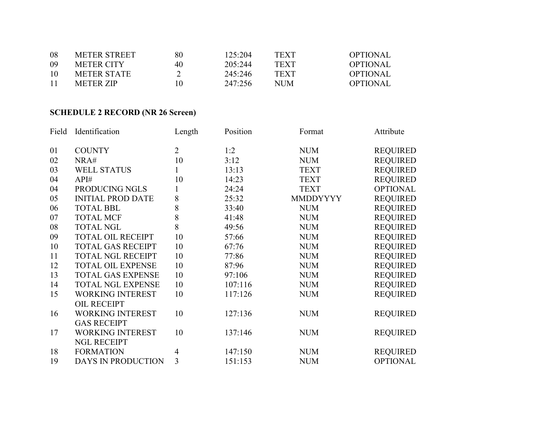| 08 | <b>METER STREET</b> | 80 | 125:204 | <b>TEXT</b> | <b>OPTIONAL</b> |
|----|---------------------|----|---------|-------------|-----------------|
| 09 | <b>METER CITY</b>   | 40 | 205:244 | TEXT        | OPTIONAL        |
| 10 | METER STATE         |    | 245:246 | <b>TEXT</b> | <b>OPTIONAL</b> |
| 11 | <b>METER ZIP</b>    | 10 | 247:256 | NUM         | OPTIONAL        |

# **SCHEDULE 2 RECORD (NR 26 Screen)**

| Field | Identification           | Length         | Position | Format          | Attribute       |
|-------|--------------------------|----------------|----------|-----------------|-----------------|
|       |                          |                |          |                 |                 |
| 01    | <b>COUNTY</b>            | $\overline{2}$ | 1:2      | <b>NUM</b>      | <b>REQUIRED</b> |
| 02    | NRA#                     | 10             | 3:12     | <b>NUM</b>      | <b>REQUIRED</b> |
| 03    | <b>WELL STATUS</b>       | 1              | 13:13    | <b>TEXT</b>     | <b>REQUIRED</b> |
| 04    | API#                     | 10             | 14:23    | <b>TEXT</b>     | <b>REQUIRED</b> |
| 04    | PRODUCING NGLS           |                | 24:24    | <b>TEXT</b>     | <b>OPTIONAL</b> |
| 05    | <b>INITIAL PROD DATE</b> | 8              | 25:32    | <b>MMDDYYYY</b> | <b>REQUIRED</b> |
| 06    | <b>TOTAL BBL</b>         | 8              | 33:40    | <b>NUM</b>      | <b>REQUIRED</b> |
| 07    | <b>TOTAL MCF</b>         | 8              | 41:48    | <b>NUM</b>      | <b>REQUIRED</b> |
| 08    | <b>TOTAL NGL</b>         | 8              | 49:56    | <b>NUM</b>      | <b>REQUIRED</b> |
| 09    | <b>TOTAL OIL RECEIPT</b> | 10             | 57:66    | <b>NUM</b>      | <b>REQUIRED</b> |
| 10    | <b>TOTAL GAS RECEIPT</b> | 10             | 67:76    | <b>NUM</b>      | <b>REQUIRED</b> |
| 11    | <b>TOTAL NGL RECEIPT</b> | 10             | 77:86    | <b>NUM</b>      | <b>REQUIRED</b> |
| 12    | <b>TOTAL OIL EXPENSE</b> | 10             | 87:96    | <b>NUM</b>      | <b>REQUIRED</b> |
| 13    | <b>TOTAL GAS EXPENSE</b> | 10             | 97:106   | <b>NUM</b>      | <b>REQUIRED</b> |
| 14    | <b>TOTAL NGL EXPENSE</b> | 10             | 107:116  | <b>NUM</b>      | <b>REQUIRED</b> |
| 15    | <b>WORKING INTEREST</b>  | 10             | 117:126  | <b>NUM</b>      | <b>REQUIRED</b> |
|       | OIL RECEIPT              |                |          |                 |                 |
| 16    | <b>WORKING INTEREST</b>  | 10             | 127:136  | <b>NUM</b>      | <b>REQUIRED</b> |
|       | <b>GAS RECEIPT</b>       |                |          |                 |                 |
| 17    | <b>WORKING INTEREST</b>  | 10             | 137:146  | <b>NUM</b>      | <b>REQUIRED</b> |
|       | <b>NGL RECEIPT</b>       |                |          |                 |                 |
| 18    | <b>FORMATION</b>         | 4              | 147:150  | <b>NUM</b>      | <b>REQUIRED</b> |
| 19    | DAYS IN PRODUCTION       | $\overline{3}$ | 151:153  | <b>NUM</b>      | <b>OPTIONAL</b> |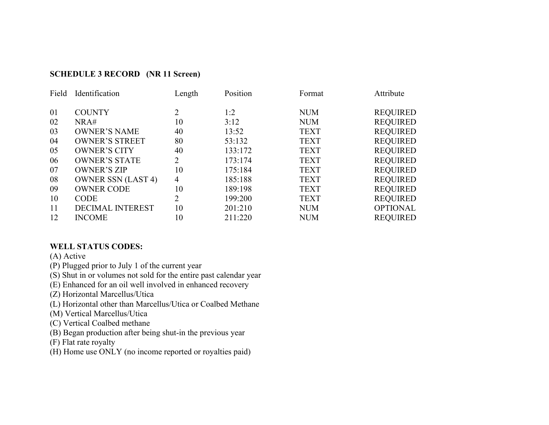#### **SCHEDULE 3 RECORD (NR 11 Screen)**

| Field | Identification            | Length | Position | Format      | Attribute       |
|-------|---------------------------|--------|----------|-------------|-----------------|
|       |                           |        |          |             |                 |
| 01    | <b>COUNTY</b>             | 2      | 1:2      | <b>NUM</b>  | <b>REQUIRED</b> |
| 02    | NRA#                      | 10     | 3:12     | <b>NUM</b>  | <b>REQUIRED</b> |
| 03    | <b>OWNER'S NAME</b>       | 40     | 13:52    | <b>TEXT</b> | <b>REQUIRED</b> |
| 04    | <b>OWNER'S STREET</b>     | 80     | 53:132   | <b>TEXT</b> | <b>REQUIRED</b> |
| 05    | <b>OWNER'S CITY</b>       | 40     | 133:172  | <b>TEXT</b> | <b>REQUIRED</b> |
| 06    | <b>OWNER'S STATE</b>      | 2      | 173:174  | <b>TEXT</b> | <b>REQUIRED</b> |
| 07    | <b>OWNER'S ZIP</b>        | 10     | 175:184  | <b>TEXT</b> | <b>REQUIRED</b> |
| 08    | <b>OWNER SSN (LAST 4)</b> | 4      | 185:188  | <b>TEXT</b> | <b>REQUIRED</b> |
| 09    | <b>OWNER CODE</b>         | 10     | 189:198  | <b>TEXT</b> | <b>REQUIRED</b> |
| 10    | <b>CODE</b>               | 2      | 199:200  | <b>TEXT</b> | <b>REQUIRED</b> |
| 11    | <b>DECIMAL INTEREST</b>   | 10     | 201:210  | <b>NUM</b>  | <b>OPTIONAL</b> |
| 12    | <b>INCOME</b>             | 10     | 211:220  | <b>NUM</b>  | <b>REQUIRED</b> |

#### **WELL STATUS CODES:**

(A) Active

(P) Plugged prior to July 1 of the current year

(S) Shut in or volumes not sold for the entire past calendar year

(E) Enhanced for an oil well involved in enhanced recovery

(Z) Horizontal Marcellus/Utica

(L) Horizontal other than Marcellus/Utica or Coalbed Methane

(M) Vertical Marcellus/Utica

(C) Vertical Coalbed methane

(B) Began production after being shut-in the previous year

(F) Flat rate royalty

(H) Home use ONLY (no income reported or royalties paid)